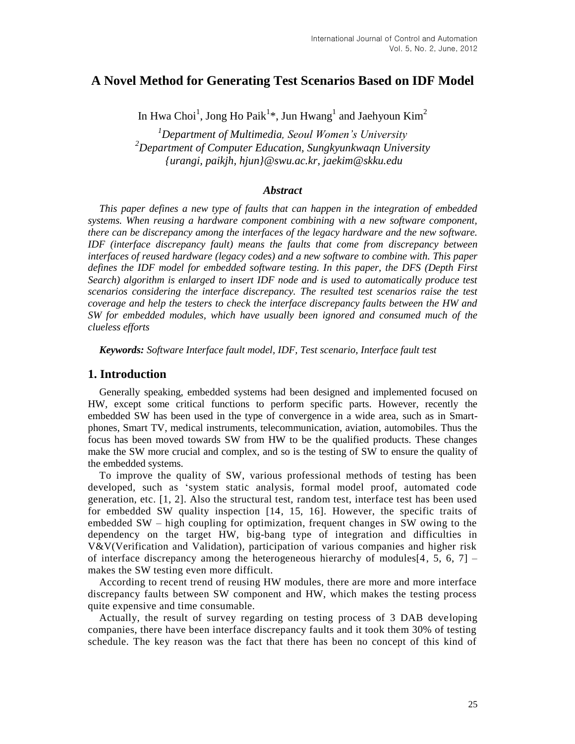# **A Novel Method for Generating Test Scenarios Based on IDF Model**

In Hwa Choi<sup>1</sup>, Jong Ho Paik<sup>1</sup>\*, Jun Hwang<sup>1</sup> and Jaehyoun Kim<sup>2</sup>

*<sup>1</sup>Department of Multimedia, Seoul Women's University <sup>2</sup>Department of Computer Education, Sungkyunkwaqn University {urangi, paikjh, hjun}@swu.ac.kr, jaekim@skku.edu*

### *Abstract*

*This paper defines a new type of faults that can happen in the integration of embedded systems. When reusing a hardware component combining with a new software component, there can be discrepancy among the interfaces of the legacy hardware and the new software. IDF (interface discrepancy fault) means the faults that come from discrepancy between interfaces of reused hardware (legacy codes) and a new software to combine with. This paper defines the IDF model for embedded software testing. In this paper, the DFS (Depth First Search) algorithm is enlarged to insert IDF node and is used to automatically produce test scenarios considering the interface discrepancy. The resulted test scenarios raise the test coverage and help the testers to check the interface discrepancy faults between the HW and SW for embedded modules, which have usually been ignored and consumed much of the clueless efforts*

*Keywords: Software Interface fault model, IDF, Test scenario, Interface fault test*

#### **1. Introduction**

Generally speaking, embedded systems had been designed and implemented focused on HW, except some critical functions to perform specific parts. However, recently the embedded SW has been used in the type of convergence in a wide area, such as in Smartphones, Smart TV, medical instruments, telecommunication, aviation, automobiles. Thus the focus has been moved towards SW from HW to be the qualified products. These changes make the SW more crucial and complex, and so is the testing of SW to ensure the quality of the embedded systems.

To improve the quality of SW, various professional methods of testing has been developed, such as 'system static analysis, formal model proof, automated code generation, etc. [1, 2]. Also the structural test, random test, interface test has been used for embedded SW quality inspection [14, 15, 16]. However, the specific traits of embedded SW – high coupling for optimization, frequent changes in SW owing to the dependency on the target HW, big-bang type of integration and difficulties in V&V(Verification and Validation), participation of various companies and higher risk of interface discrepancy among the heterogeneous hierarchy of modules [4, 5, 6, 7] – makes the SW testing even more difficult.

According to recent trend of reusing HW modules, there are more and more interface discrepancy faults between SW component and HW, which makes the testing process quite expensive and time consumable.

Actually, the result of survey regarding on testing process of 3 DAB developing companies, there have been interface discrepancy faults and it took them 30% of testing schedule. The key reason was the fact that there has been no concept of this kind of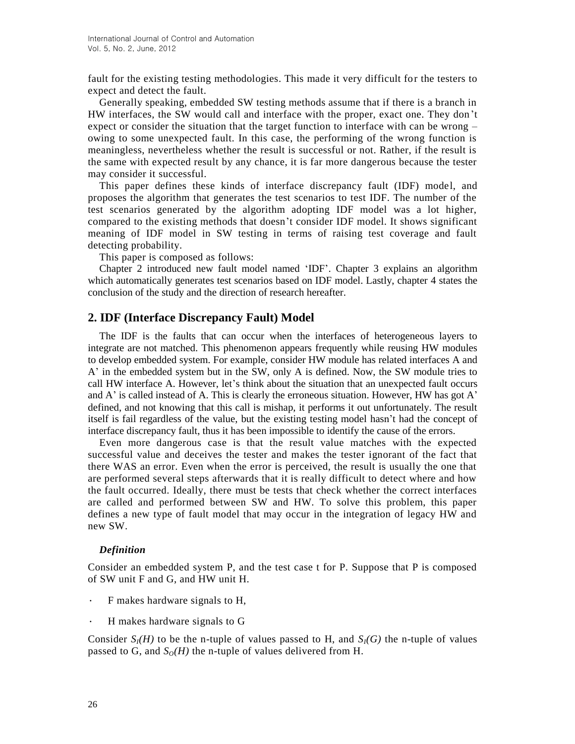fault for the existing testing methodologies. This made it very difficult for the testers to expect and detect the fault.

Generally speaking, embedded SW testing methods assume that if there is a branch in HW interfaces, the SW would call and interface with the proper, exact one. They don't expect or consider the situation that the target function to interface with can be wrong – owing to some unexpected fault. In this case, the performing of the wrong function is meaningless, nevertheless whether the result is successful or not. Rather, if the result is the same with expected result by any chance, it is far more dangerous because the tester may consider it successful.

This paper defines these kinds of interface discrepancy fault (IDF) model, and proposes the algorithm that generates the test scenarios to test IDF. The number of the test scenarios generated by the algorithm adopting IDF model was a lot higher, compared to the existing methods that doesn't consider IDF model. It shows significant meaning of IDF model in SW testing in terms of raising test coverage and fault detecting probability.

This paper is composed as follows:

Chapter 2 introduced new fault model named 'IDF'. Chapter 3 explains an algorithm which automatically generates test scenarios based on IDF model. Lastly, chapter 4 states the conclusion of the study and the direction of research hereafter.

## **2. IDF (Interface Discrepancy Fault) Model**

The IDF is the faults that can occur when the interfaces of heterogeneous layers to integrate are not matched. This phenomenon appears frequently while reusing HW modules to develop embedded system. For example, consider HW module has related interfaces A and A' in the embedded system but in the SW, only A is defined. Now, the SW module tries to call HW interface A. However, let's think about the situation that an unexpected fault occurs and A' is called instead of A. This is clearly the erroneous situation. However, HW has got A' defined, and not knowing that this call is mishap, it performs it out unfortunately. The result itself is fail regardless of the value, but the existing testing model hasn't had the concept of interface discrepancy fault, thus it has been impossible to identify the cause of the errors.

Even more dangerous case is that the result value matches with the expected successful value and deceives the tester and makes the tester ignorant of the fact that there WAS an error. Even when the error is perceived, the result is usually the one that are performed several steps afterwards that it is really difficult to detect where and how the fault occurred. Ideally, there must be tests that check whether the correct interfaces are called and performed between SW and HW. To solve this problem, this paper defines a new type of fault model that may occur in the integration of legacy HW and new SW.

#### *Definition*

Consider an embedded system P, and the test case t for P. Suppose that P is composed of SW unit F and G, and HW unit H.

- ∙ F makes hardware signals to H,
- ∙ H makes hardware signals to G

Consider  $S_I(H)$  to be the n-tuple of values passed to H, and  $S_I(G)$  the n-tuple of values passed to G, and  $S<sub>O</sub>(H)$  the n-tuple of values delivered from H.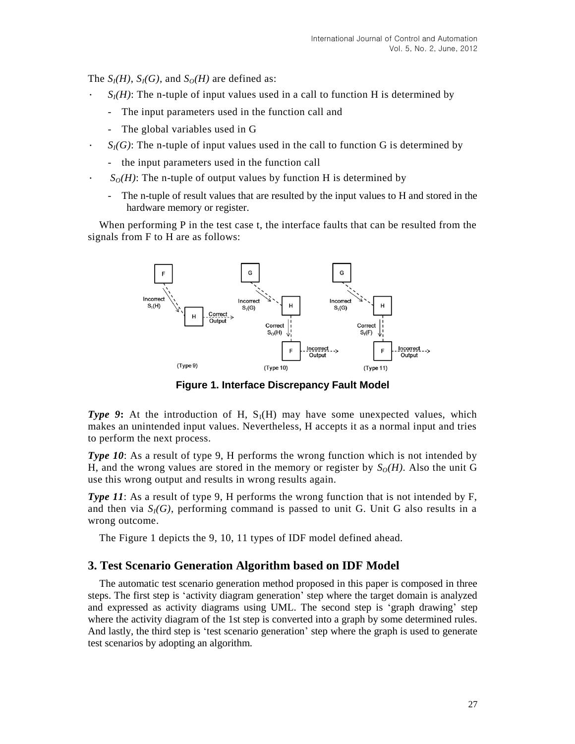The  $S_I(H)$ ,  $S_I(G)$ , and  $S_O(H)$  are defined as:

- $S_I(H)$ : The n-tuple of input values used in a call to function H is determined by
	- The input parameters used in the function call and
	- The global variables used in G
- $S_I(G)$ : The n-tuple of input values used in the call to function G is determined by
	- the input parameters used in the function call
- $S_O(H)$ : The n-tuple of output values by function H is determined by
	- The n-tuple of result values that are resulted by the input values to H and stored in the hardware memory or register.

When performing P in the test case t, the interface faults that can be resulted from the signals from F to H are as follows:



**Figure 1. Interface Discrepancy Fault Model**

*Type 9***:** At the introduction of H,  $S<sub>1</sub>(H)$  may have some unexpected values, which makes an unintended input values. Nevertheless, H accepts it as a normal input and tries to perform the next process.

*Type 10*: As a result of type 9, H performs the wrong function which is not intended by H, and the wrong values are stored in the memory or register by  $S<sub>O</sub>(H)$ . Also the unit G use this wrong output and results in wrong results again.

*Type 11*: As a result of type 9, H performs the wrong function that is not intended by F, and then via  $S_I(G)$ , performing command is passed to unit G. Unit G also results in a wrong outcome.

The Figure 1 depicts the 9, 10, 11 types of IDF model defined ahead.

## **3. Test Scenario Generation Algorithm based on IDF Model**

The automatic test scenario generation method proposed in this paper is composed in three steps. The first step is 'activity diagram generation' step where the target domain is analyzed and expressed as activity diagrams using UML. The second step is 'graph drawing' step where the activity diagram of the 1st step is converted into a graph by some determined rules. And lastly, the third step is 'test scenario generation' step where the graph is used to generate test scenarios by adopting an algorithm.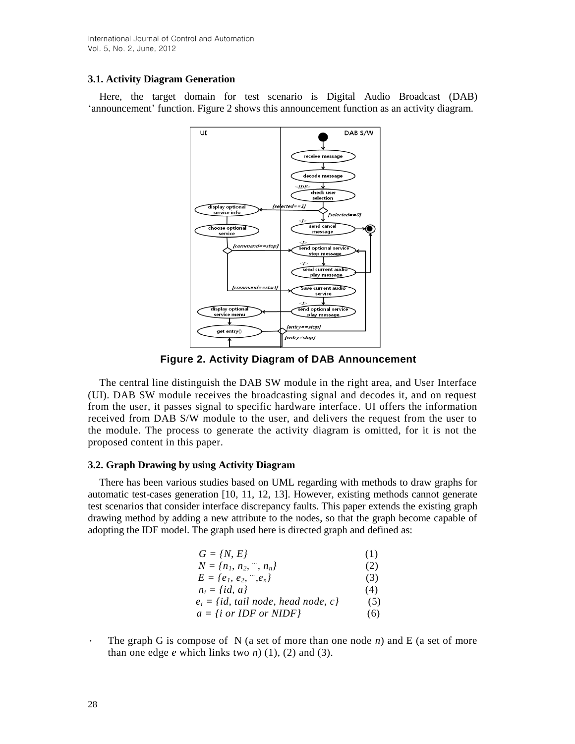## **3.1. Activity Diagram Generation**

Here, the target domain for test scenario is Digital Audio Broadcast (DAB) 'announcement' function. Figure 2 shows this announcement function as an activity diagram.



**Figure 2. Activity Diagram of DAB Announcement**

The central line distinguish the DAB SW module in the right area, and User Interface (UI). DAB SW module receives the broadcasting signal and decodes it, and on request from the user, it passes signal to specific hardware interface. UI offers the information received from DAB S/W module to the user, and delivers the request from the user to the module. The process to generate the activity diagram is omitted, for it is not the proposed content in this paper.

### **3.2. Graph Drawing by using Activity Diagram**

There has been various studies based on UML regarding with methods to draw graphs for automatic test-cases generation [10, 11, 12, 13]. However, existing methods cannot generate test scenarios that consider interface discrepancy faults. This paper extends the existing graph drawing method by adding a new attribute to the nodes, so that the graph become capable of adopting the IDF model. The graph used here is directed graph and defined as:

| $G = \{N, E\}$                               | (1) |
|----------------------------------------------|-----|
| $N = {n_1, n_2, , n_n}$                      | (2) |
| $E = \{e_1, e_2, , e_n\}$                    | (3) |
| $n_i = \{id, a\}$                            | (4) |
| $e_i = \{id, tail node, head node, c\}$      | (5) |
| $a = \{i \text{ or } IDF \text{ or } NIDF\}$ | (6) |

∙ The graph G is compose of N (a set of more than one node *n*) and E (a set of more than one edge  $e$  which links two  $n$ ) (1), (2) and (3).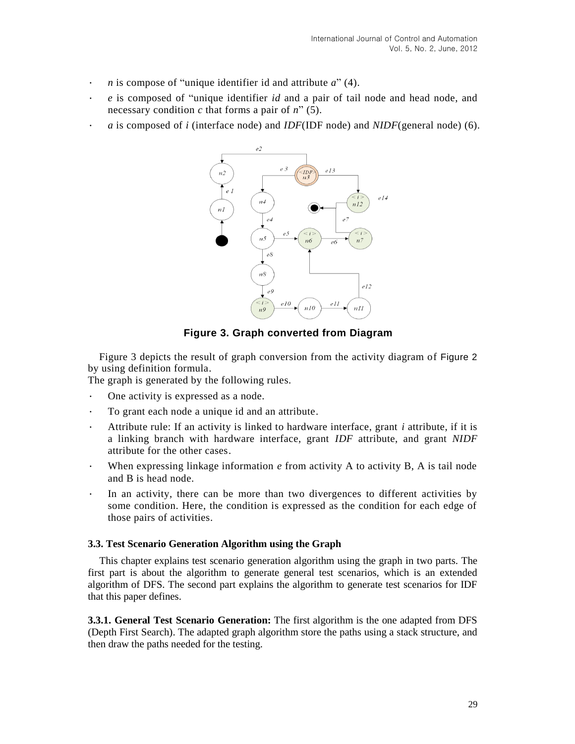- ∙ *n* is compose of "unique identifier id and attribute *a*" (4).
- ∙ *e* is composed of "unique identifier *id* and a pair of tail node and head node, and necessary condition *c* that forms a pair of *n*" (5).
- ∙ *a* is composed of *i* (interface node) and *IDF*(IDF node) and *NIDF*(general node) (6).



**Figure 3. Graph converted from Diagram**

Figure 3 depicts the result of graph conversion from the activity diagram of Figure 2 by using definition formula.

The graph is generated by the following rules.

- ∙ One activity is expressed as a node.
- ∙ To grant each node a unique id and an attribute.
- ∙ Attribute rule: If an activity is linked to hardware interface, grant *i* attribute, if it is a linking branch with hardware interface, grant *IDF* attribute, and grant *NIDF*  attribute for the other cases.
- ∙ When expressing linkage information *e* from activity A to activity B, A is tail node and B is head node.
- In an activity, there can be more than two divergences to different activities by some condition. Here, the condition is expressed as the condition for each edge of those pairs of activities.

#### **3.3. Test Scenario Generation Algorithm using the Graph**

This chapter explains test scenario generation algorithm using the graph in two parts. The first part is about the algorithm to generate general test scenarios, which is an extended algorithm of DFS. The second part explains the algorithm to generate test scenarios for IDF that this paper defines.

**3.3.1. General Test Scenario Generation:** The first algorithm is the one adapted from DFS (Depth First Search). The adapted graph algorithm store the paths using a stack structure, and then draw the paths needed for the testing.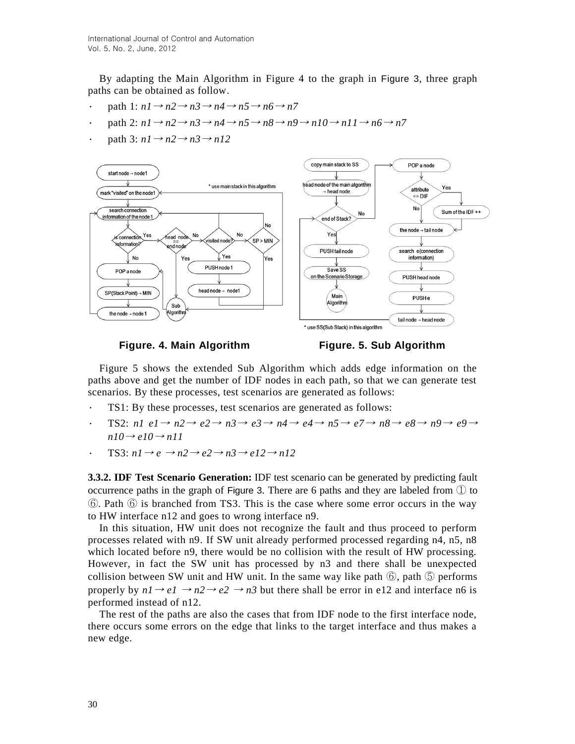By adapting the Main Algorithm in Figure 4 to the graph in Figure 3, three graph paths can be obtained as follow.

- path 1:  $n1 \rightarrow n2 \rightarrow n3 \rightarrow n4 \rightarrow n5 \rightarrow n6 \rightarrow n7$
- path 2:  $nI \rightarrow n2 \rightarrow n3 \rightarrow n4 \rightarrow n5 \rightarrow n8 \rightarrow n9 \rightarrow n10 \rightarrow n11 \rightarrow n6 \rightarrow n7$
- path 3:  $n1 \rightarrow n2 \rightarrow n3 \rightarrow n12$





Figure 5 shows the extended Sub Algorithm which adds edge information on the paths above and get the number of IDF nodes in each path, so that we can generate test scenarios. By these processes, test scenarios are generated as follows:

- TS1: By these processes, test scenarios are generated as follows:
- ∙ TS2: *n1 e1*<sup>→</sup> *n2*<sup>→</sup> *e2*<sup>→</sup> *n3*<sup>→</sup> *e3*<sup>→</sup> *n4*<sup>→</sup> *e4*<sup>→</sup> *n5*<sup>→</sup> *e7*<sup>→</sup> *n8*<sup>→</sup> *e8*<sup>→</sup> *n9*<sup>→</sup> *e9*<sup>→</sup>  $n10 \rightarrow e10 \rightarrow n11$
- TS3:  $nI \rightarrow e \rightarrow n2 \rightarrow e2 \rightarrow n3 \rightarrow e12 \rightarrow n12$

**3.3.2. IDF Test Scenario Generation:** IDF test scenario can be generated by predicting fault occurrence paths in the graph of Figure 3. There are 6 paths and they are labeled from ① to ⑥. Path ⑥ is branched from TS3. This is the case where some error occurs in the way to HW interface n12 and goes to wrong interface n9.

In this situation, HW unit does not recognize the fault and thus proceed to perform processes related with n9. If SW unit already performed processed regarding n4, n5, n8 which located before n9, there would be no collision with the result of HW processing. However, in fact the SW unit has processed by n3 and there shall be unexpected collision between SW unit and HW unit. In the same way like path  $\circled{6}$ , path  $\circled{5}$  performs properly by  $nI \rightarrow eI \rightarrow n2 \rightarrow e2 \rightarrow n3$  but there shall be error in e12 and interface n6 is performed instead of n12.

The rest of the paths are also the cases that from IDF node to the first interface node, there occurs some errors on the edge that links to the target interface and thus makes a new edge.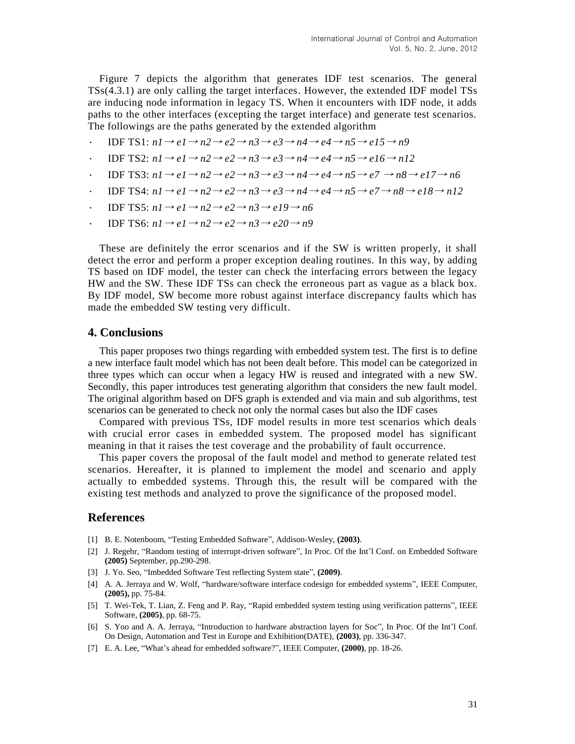Figure 7 depicts the algorithm that generates IDF test scenarios. The general TSs(4.3.1) are only calling the target interfaces. However, the extended IDF model TSs are inducing node information in legacy TS. When it encounters with IDF node, it adds paths to the other interfaces (excepting the target interface) and generate test scenarios. The followings are the paths generated by the extended algorithm

∙ IDF TS1: *n1*<sup>→</sup> *e1*<sup>→</sup> *n2*<sup>→</sup> *e2*<sup>→</sup> *n3*<sup>→</sup> *e3*<sup>→</sup> *n4*<sup>→</sup> *e4*<sup>→</sup> *n5*<sup>→</sup> *e15*<sup>→</sup> *n9*

• IDF TS2:  $n1 \rightarrow e1 \rightarrow n2 \rightarrow e2 \rightarrow n3 \rightarrow e3 \rightarrow n4 \rightarrow e4 \rightarrow n5 \rightarrow e16 \rightarrow n12$ 

- ∙ IDF TS3: *n1*<sup>→</sup> *e1*<sup>→</sup> *n2*<sup>→</sup> *e2*<sup>→</sup> *n3*<sup>→</sup> *e3*<sup>→</sup> *n4*<sup>→</sup> *e4*<sup>→</sup> *n5*<sup>→</sup> *e7* <sup>→</sup> *n8*<sup>→</sup> *e17*<sup>→</sup> *n6*
- IDF TS4:  $nI \rightarrow eI \rightarrow n2 \rightarrow e2 \rightarrow n3 \rightarrow e3 \rightarrow n4 \rightarrow e4 \rightarrow n5 \rightarrow e7 \rightarrow n8 \rightarrow e18 \rightarrow n12$
- IDF TS5:  $n1 \rightarrow e1 \rightarrow n2 \rightarrow e2 \rightarrow n3 \rightarrow e19 \rightarrow n6$
- IDF TS6:  $n1 \rightarrow e1 \rightarrow n2 \rightarrow e2 \rightarrow n3 \rightarrow e20 \rightarrow n9$

These are definitely the error scenarios and if the SW is written properly, it shall detect the error and perform a proper exception dealing routines. In this way, by adding TS based on IDF model, the tester can check the interfacing errors between the legacy HW and the SW. These IDF TSs can check the erroneous part as vague as a black box. By IDF model, SW become more robust against interface discrepancy faults which has made the embedded SW testing very difficult.

#### **4. Conclusions**

This paper proposes two things regarding with embedded system test. The first is to define a new interface fault model which has not been dealt before. This model can be categorized in three types which can occur when a legacy HW is reused and integrated with a new SW. Secondly, this paper introduces test generating algorithm that considers the new fault model. The original algorithm based on DFS graph is extended and via main and sub algorithms, test scenarios can be generated to check not only the normal cases but also the IDF cases

Compared with previous TSs, IDF model results in more test scenarios which deals with crucial error cases in embedded system. The proposed model has significant meaning in that it raises the test coverage and the probability of fault occurrence.

This paper covers the proposal of the fault model and method to generate related test scenarios. Hereafter, it is planned to implement the model and scenario and apply actually to embedded systems. Through this, the result will be compared with the existing test methods and analyzed to prove the significance of the proposed model.

## **References**

- [1] B. E. Notenboom, "Testing Embedded Software", Addison-Wesley, **(2003)**.
- [2] J. Regehr, "Random testing of interrupt-driven software", In Proc. Of the Int'l Conf. on Embedded Software **(2005)** September, pp.290-298.
- [3] J. Yo. Seo, "Imbedded Software Test reflecting System state", **(2009)**.
- [4] A. A. Jerraya and W. Wolf, "hardware/software interface codesign for embedded systems", IEEE Computer, **(2005),** pp. 75-84.
- [5] T. Wei-Tek, T. Lian, Z. Feng and P. Ray, "Rapid embedded system testing using verification patterns", IEEE Software, **(2005)**, pp. 68-75.
- [6] S. Yoo and A. A. Jerraya, "Introduction to hardware abstraction layers for Soc", In Proc. Of the Int'l Conf. On Design, Automation and Test in Europe and Exhibition(DATE), **(2003)**, pp. 336-347.
- [7] E. A. Lee, "What's ahead for embedded software?", IEEE Computer, **(2000)**, pp. 18-26.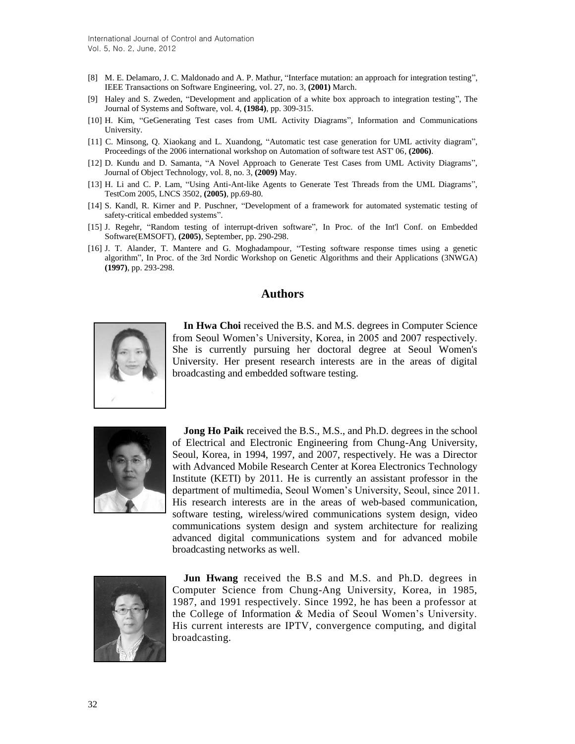- [8] M. E. Delamaro, J. C. Maldonado and A. P. Mathur, "Interface mutation: an approach for integration testing", IEEE Transactions on Software Engineering, vol. 27, no. 3, **(2001)** March.
- [9] Haley and S. Zweden, "Development and application of a white box approach to integration testing", The Journal of Systems and Software, vol. 4, **(1984)**, pp. 309-315.
- [10] H. Kim, "GeGenerating Test cases from UML Activity Diagrams", Information and Communications University.
- [11] C. Minsong, Q. Xiaokang and L. Xuandong, "Automatic test case generation for UML activity diagram", Proceedings of the 2006 international workshop on Automation of software test AST' 06, **(2006)**.
- [12] D. Kundu and D. Samanta, "A Novel Approach to Generate Test Cases from UML Activity Diagrams", Journal of Object Technology, vol. 8, no. 3, **(2009)** May.
- [13] H. Li and C. P. Lam, "Using Anti-Ant-like Agents to Generate Test Threads from the UML Diagrams", TestCom 2005, LNCS 3502, **(2005)**, pp.69-80.
- [14] S. Kandl, R. Kirner and P. Puschner, "Development of a framework for automated systematic testing of safety-critical embedded systems".
- [15] J. Regehr, "Random testing of interrupt-driven software", In Proc. of the Int'l Conf. on Embedded Software(EMSOFT), **(2005)**, September, pp. 290-298.
- [16] J. T. Alander, T. Mantere and G. Moghadampour, "Testing software response times using a genetic algorithm", In Proc. of the 3rd Nordic Workshop on Genetic Algorithms and their Applications (3NWGA) **(1997)**, pp. 293-298.

## **Authors**



**In Hwa Choi** received the B.S. and M.S. degrees in Computer Science from Seoul Women's University, Korea, in 2005 and 2007 respectively. She is currently pursuing her doctoral degree at Seoul Women's University. Her present research interests are in the areas of digital broadcasting and embedded software testing.



**Jong Ho Paik** received the B.S., M.S., and Ph.D. degrees in the school of Electrical and Electronic Engineering from Chung-Ang University, Seoul, Korea, in 1994, 1997, and 2007, respectively. He was a Director with Advanced Mobile Research Center at Korea Electronics Technology Institute (KETI) by 2011. He is currently an assistant professor in the department of multimedia, Seoul Women's University, Seoul, since 2011. His research interests are in the areas of web-based communication, software testing, wireless/wired communications system design, video communications system design and system architecture for realizing advanced digital communications system and for advanced mobile broadcasting networks as well.



**Jun Hwang** received the B.S and M.S. and Ph.D. degrees in Computer Science from Chung-Ang University, Korea, in 1985, 1987, and 1991 respectively. Since 1992, he has been a professor at the College of Information & Media of Seoul Women's University. His current interests are IPTV, convergence computing, and digital broadcasting.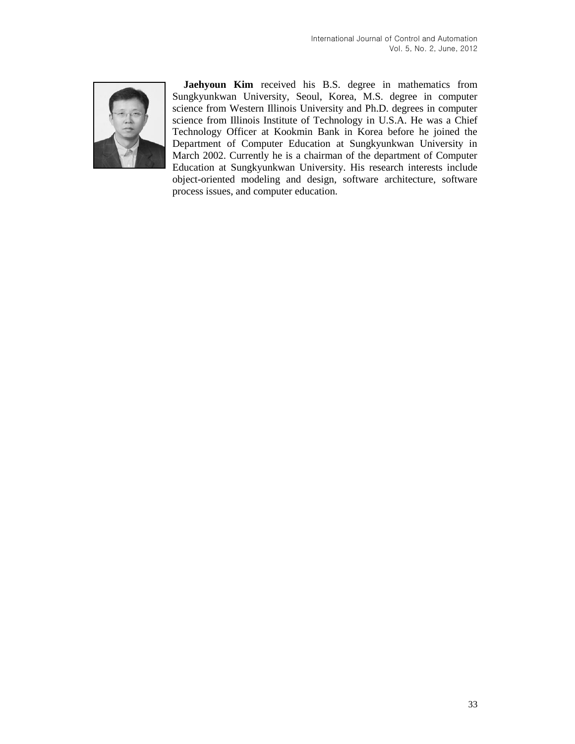

**Jaehyoun Kim** received his B.S. degree in mathematics from Sungkyunkwan University, Seoul, Korea, M.S. degree in computer science from Western Illinois University and Ph.D. degrees in computer science from Illinois Institute of Technology in U.S.A. He was a Chief Technology Officer at Kookmin Bank in Korea before he joined the Department of Computer Education at Sungkyunkwan University in March 2002. Currently he is a chairman of the department of Computer Education at Sungkyunkwan University. His research interests include object-oriented modeling and design, software architecture, software process issues, and computer education.